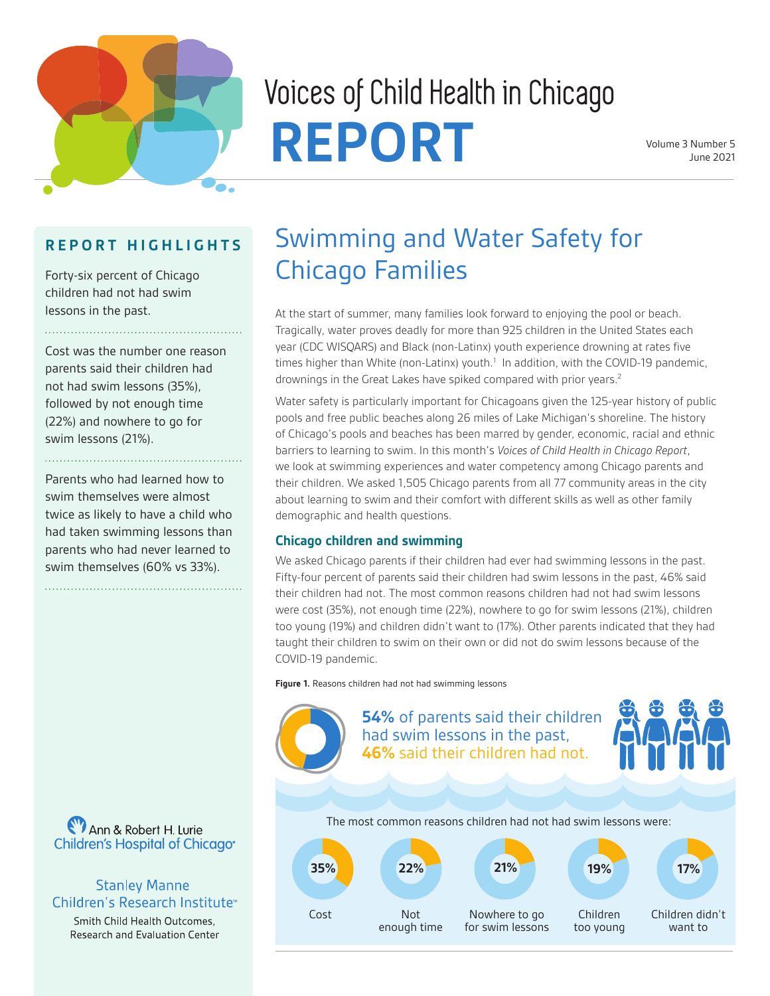

# Voices of Child Health in Chicago REPORT Volume 3 Number 5

#### **R E P O R T H I G H L I G H T S**

Forty-six percent of Chicago children had not had swim lessons in the past.

Cost was the number one reason parents said their children had not had swim lessons (35%), followed by not enough time (22%) and nowhere to go for swim lessons (21%).

Parents who had learned how to swim themselves were almost twice as likely to have a child who had taken swimming lessons than parents who had never learned to swim themselves (60% vs 33%).



#### **Stanley Manne** Children's Research Institute<sup>®</sup>

Smith Child Health Outcomes, Research and Evaluation Center

## Swimming and Water Safety for Chicago Families

At the start of summer, many families look forward to enjoying the pool or beach. Tragically, water proves deadly for more than 925 children in the United States each year (CDC WISQARS) and Black (non-Latinx) youth experience drowning at rates five times higher than White (non-Latinx) youth.<sup>1</sup> In addition, with the COVID-19 pandemic, drownings in the Great Lakes have spiked compared with prior years.<sup>2</sup>

Water safety is particularly important for Chicagoans given the 125-year history of public pools and free public beaches along 26 miles of Lake Michigan's shoreline. The history of Chicago's pools and beaches has been marred by gender, economic, racial and ethnic barriers to learning to swim. In this month's *Voices of Child Health in Chicago Report*, we look at swimming experiences and water competency among Chicago parents and their children. We asked 1,505 Chicago parents from all 77 community areas in the city about learning to swim and their comfort with different skills as well as other family demographic and health questions.

#### **Chicago children and swimming**

We asked Chicago parents if their children had ever had swimming lessons in the past. Fifty-four percent of parents said their children had swim lessons in the past, 46% said their children had not. The most common reasons children had not had swim lessons were cost (35%), not enough time (22%), nowhere to go for swim lessons (21%), children too young (19%) and children didn't want to (17%). Other parents indicated that they had taught their children to swim on their own or did not do swim lessons because of the COVID-19 pandemic.

**Figure 1.** Reasons children had not had swimming lessons

**54%** of parents said their children had swim lessons in the past, **46%** said their children had not. The most common reasons children had not had swim lessons were:

Nowhere to go for swim lessons Not enough time Children too young Children didn't want to Cost **35% 22% 21% 19% 17%**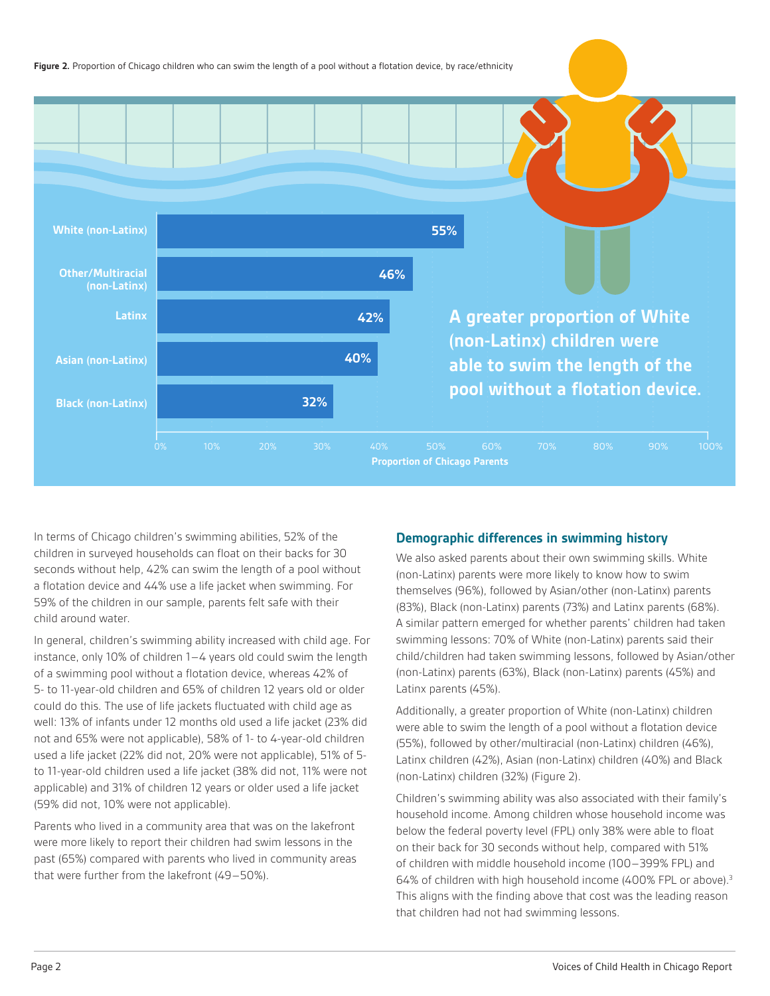

In terms of Chicago children's swimming abilities, 52% of the children in surveyed households can float on their backs for 30 seconds without help, 42% can swim the length of a pool without a flotation device and 44% use a life jacket when swimming. For 59% of the children in our sample, parents felt safe with their child around water.

In general, children's swimming ability increased with child age. For instance, only 10% of children 1–4 years old could swim the length of a swimming pool without a flotation device, whereas 42% of 5- to 11-year-old children and 65% of children 12 years old or older could do this. The use of life jackets fluctuated with child age as well: 13% of infants under 12 months old used a life jacket (23% did not and 65% were not applicable), 58% of 1- to 4-year-old children used a life jacket (22% did not, 20% were not applicable), 51% of 5 to 11-year-old children used a life jacket (38% did not, 11% were not applicable) and 31% of children 12 years or older used a life jacket (59% did not, 10% were not applicable).

Parents who lived in a community area that was on the lakefront were more likely to report their children had swim lessons in the past (65%) compared with parents who lived in community areas that were further from the lakefront (49–50%).

#### **Demographic differences in swimming history**

We also asked parents about their own swimming skills. White (non-Latinx) parents were more likely to know how to swim themselves (96%), followed by Asian/other (non-Latinx) parents (83%), Black (non-Latinx) parents (73%) and Latinx parents (68%). A similar pattern emerged for whether parents' children had taken swimming lessons: 70% of White (non-Latinx) parents said their child/children had taken swimming lessons, followed by Asian/other (non-Latinx) parents (63%), Black (non-Latinx) parents (45%) and Latinx parents (45%).

Additionally, a greater proportion of White (non-Latinx) children were able to swim the length of a pool without a flotation device (55%), followed by other/multiracial (non-Latinx) children (46%), Latinx children (42%), Asian (non-Latinx) children (40%) and Black (non-Latinx) children (32%) (Figure 2).

Children's swimming ability was also associated with their family's household income. Among children whose household income was below the federal poverty level (FPL) only 38% were able to float on their back for 30 seconds without help, compared with 51% of children with middle household income (100–399% FPL) and 64% of children with high household income (400% FPL or above).3 This aligns with the finding above that cost was the leading reason that children had not had swimming lessons.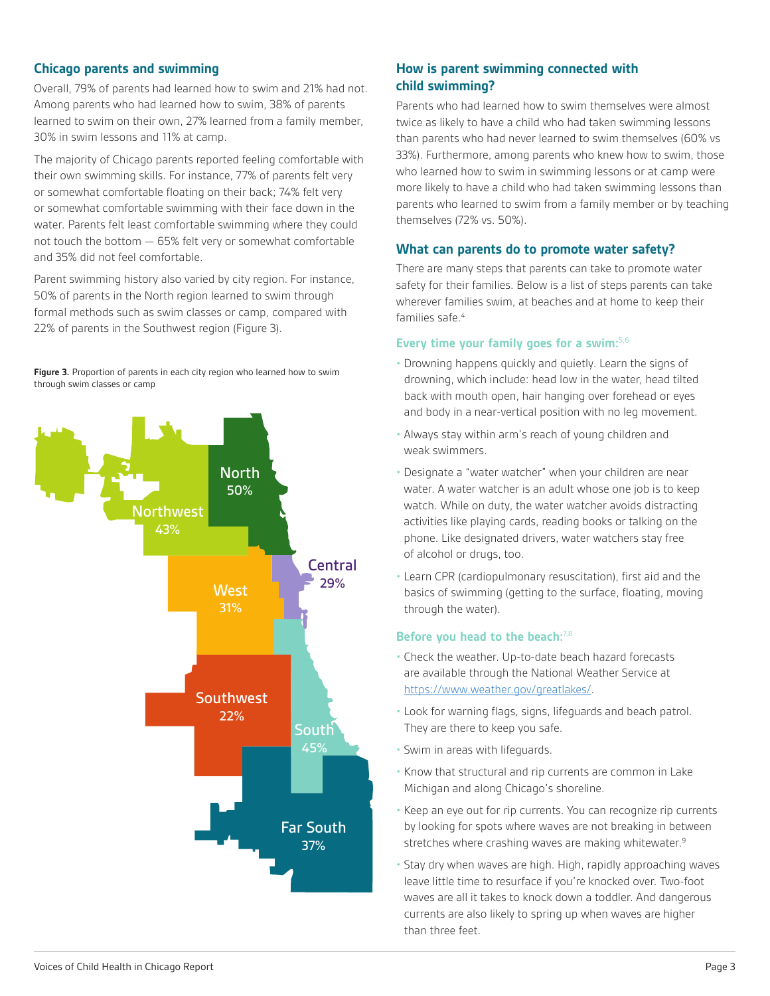#### **Chicago parents and swimming**

Overall, 79% of parents had learned how to swim and 21% had not. Among parents who had learned how to swim, 38% of parents learned to swim on their own, 27% learned from a family member, 30% in swim lessons and 11% at camp.

The majority of Chicago parents reported feeling comfortable with their own swimming skills. For instance, 77% of parents felt very or somewhat comfortable floating on their back; 74% felt very or somewhat comfortable swimming with their face down in the water. Parents felt least comfortable swimming where they could not touch the bottom — 65% felt very or somewhat comfortable and 35% did not feel comfortable.

Parent swimming history also varied by city region. For instance, 50% of parents in the North region learned to swim through formal methods such as swim classes or camp, compared with 22% of parents in the Southwest region (Figure 3).

**Figure 3.** Proportion of parents in each city region who learned how to swim through swim classes or camp



#### **How is parent swimming connected with child swimming?**

Parents who had learned how to swim themselves were almost twice as likely to have a child who had taken swimming lessons than parents who had never learned to swim themselves (60% vs 33%). Furthermore, among parents who knew how to swim, those who learned how to swim in swimming lessons or at camp were more likely to have a child who had taken swimming lessons than parents who learned to swim from a family member or by teaching themselves (72% vs. 50%).

#### **What can parents do to promote water safety?**

There are many steps that parents can take to promote water safety for their families. Below is a list of steps parents can take wherever families swim, at beaches and at home to keep their families safe.<sup>4</sup>

#### **Every time your family goes for a swim:**5,6

- Drowning happens quickly and quietly. Learn the signs of drowning, which include: head low in the water, head tilted back with mouth open, hair hanging over forehead or eyes and body in a near-vertical position with no leg movement.
- Always stay within arm's reach of young children and weak swimmers.
- Designate a "water watcher" when your children are near water. A water watcher is an adult whose one job is to keep watch. While on duty, the water watcher avoids distracting activities like playing cards, reading books or talking on the phone. Like designated drivers, water watchers stay free of alcohol or drugs, too.
- Learn CPR (cardiopulmonary resuscitation), first aid and the basics of swimming (getting to the surface, floating, moving through the water).

#### **Before you head to the beach:**7,8

- Check the weather. Up-to-date beach hazard forecasts are available through the National Weather Service at <https://www.weather.gov/greatlakes/>.
- Look for warning flags, signs, lifeguards and beach patrol. They are there to keep you safe.
- Swim in areas with lifeguards.
- Know that structural and rip currents are common in Lake Michigan and along Chicago's shoreline.
- Keep an eye out for rip currents. You can recognize rip currents by looking for spots where waves are not breaking in between stretches where crashing waves are making whitewater.<sup>9</sup>
- Stay dry when waves are high. High, rapidly approaching waves leave little time to resurface if you're knocked over. Two-foot waves are all it takes to knock down a toddler. And dangerous currents are also likely to spring up when waves are higher than three feet.